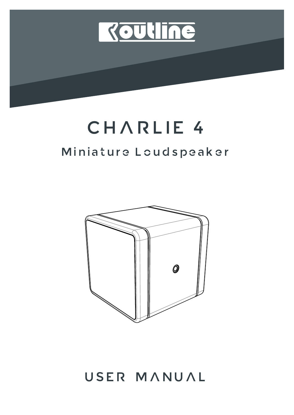

# CHARLIE 4

# Miniature Loudspeaker



USER MANUAL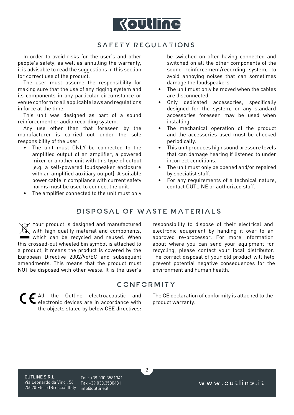

#### SAFETY REGULATIONS

In order to avoid risks for the user's and other people's safety, as well as annulling the warranty, it is advisable to read the suggestions in this section for correct use of the product.

The user must assume the responsibility for making sure that the use of any rigging system and its components in any particular circumstance or venue conform to all applicable laws and regulations in force at the time.

This unit was designed as part of a sound reinforcement or audio recording system.

Any use other than that foreseen by the manufacturer is carried out under the sole responsibility of the user.

- The unit must ONLY be connected to the amplified output of an amplifier, a powered mixer or another unit with this type of output (e.g. a self-powered loudspeaker enclosure with an amplified auxiliary output). A suitable power cable in compliance with current safety norms must be used to connect the unit.
- The amplifier connected to the unit must only

be switched on after having connected and switched on all the other components of the sound reinforcement/recording system, to avoid annoying noises that can sometimes damage the loudspeakers.

- The unit must only be moved when the cables are disconnected.
- Only dedicated accessories, specifically designed for the system, or any standard accessories foreseen may be used when installing.
- The mechanical operation of the product and the accessories used must be checked periodically.
- This unit produces high sound pressure levels that can damage hearing if listened to under incorrect conditions.
- The unit must only be opened and/or repaired by specialist staff.
- For any requirements of a technical nature, contact OUTLINE or authorized staff.

#### DISPOSAL OF WASTE MATERIALS

Your product is designed and manufactured with high quality material and components, which can be recycled and reused. When this crossed-out wheeled bin symbol is attached to a product, it means the product is covered by the European Directive 2002/96/EC and subsequent amendments. This means that the product must NOT be disposed with other waste. It is the user's responsibility to dispose of their electrical and electronic equipment by handing it over to an approved re-processor. For more information about where you can send your equipment for recycling, please contact your local distributor. The correct disposal of your old product will help prevent potential negative consequences for the environment and human health.

#### **CONFORMITY**

 $\overline{2}$ 

C E All the Outline electroacoustic and electronic devices are in accordance with the objects stated by below CEE directives:

The CE declaration of conformity is attached to the product warranty.

OUTLINE S.R.L. Via Leonardo da Vinci, 56 25020 Flero (Brescia) Italy info@outline.it

Tel.: +39 030.3581341 Fax +39 030.3580431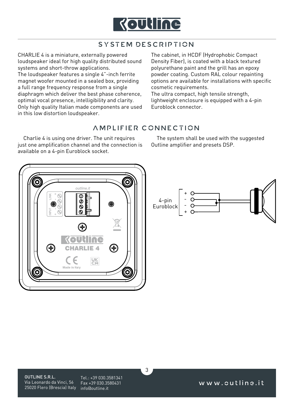

# SYSTEM DESCRIPTION

CHARLIE 4 is a miniature, externally powered loudspeaker ideal for high quality distributed sound systems and short-throw applications. The loudspeaker features a single 4"-inch ferrite magnet woofer mounted in a sealed box, providing a full range frequency response from a single diaphragm which deliver the best phase coherence, optimal vocal presence, intelligibility and clarity. Only high quality Italian made components are used in this low distortion loudspeaker.

The cabinet, in HCDF (Hydrophobic Compact Density Fiber), is coated with a black textured polyurethane paint and the grill has an epoxy powder coating. Custom RAL colour repainting options are available for installations with specific cosmetic requirements.

The ultra compact, high tensile strength, lightweight enclosure is equipped with a 4-pin Euroblock connector.

#### AMPLIFIER CONNECTION

Charlie 4 is using one driver. The unit requires just one amplification channel and the connection is available on a 4-pin Euroblock socket.

The system shall be used with the suggested Outline amplifier and presets DSP.





Tel.: +39 030.3581341 Fax +39 030.3580431

3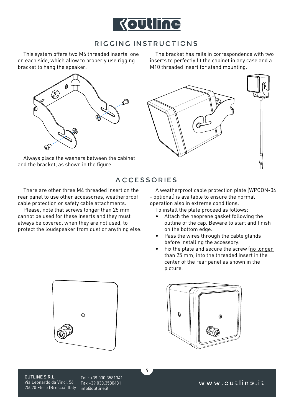

### RIGGING INSTRUCTIONS

This system offers two M6 threaded inserts, one on each side, which allow to properly use rigging bracket to hang the speaker.



Always place the washers between the cabinet and the bracket, as shown in the figure.

The bracket has rails in correspondence with two inserts to perfectly fit the cabinet in any case and a M10 threaded insert for stand mounting.



## ACCESSORIES

4

There are other three M4 threaded insert on the rear panel to use other accessories, weatherproof cable protection or safety cable attachments.

Please, note that screws longer than 25 mm cannot be used for these inserts and they must always be covered, when they are not used, to protect the loudspeaker from dust or anything else.

A weatherproof cable protection plate (WPCON-04 - optional) is available to ensure the normal operation also in extreme conditions.

To install the plate proceed as follows:

- Attach the neoprene gasket following the outline of the cap. Beware to start and finish on the bottom edge.
- Pass the wires through the cable glands before installing the accessory.
- Fix the plate and secure the screw (no longer than 25 mm) into the threaded insert in the center of the rear panel as shown in the picture.





OUTLINE S.R.L. Via Leonardo da Vinci, 56 25020 Flero (Brescia) Italy info@outline.it

Tel.: +39 030.3581341 Fax +39 030.3580431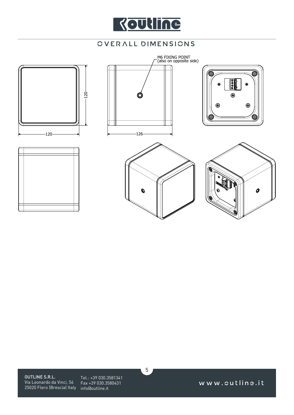

# OVERALL DIMENSIONS



5

OUTLINE S.R.L. Via Leonardo da Vinci, 56 25020 Flero (Brescia) Italy info@outline.it

Tel.: +39 030.3581341 Fax +39 030.3580431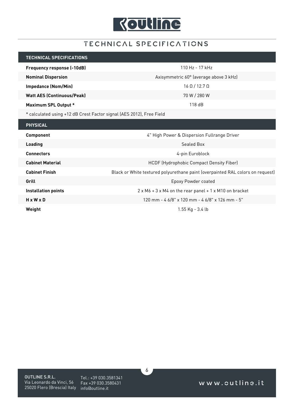

# TECHNICAL SPECIFICATIONS

| <b>TECHNICAL SPECIFICATIONS</b>                                      |                                                                                |  |  |  |  |  |  |  |
|----------------------------------------------------------------------|--------------------------------------------------------------------------------|--|--|--|--|--|--|--|
| <b>Frequency response (-10dB)</b>                                    | 110 Hz - 17 kHz                                                                |  |  |  |  |  |  |  |
| <b>Nominal Dispersion</b>                                            | Axisymmetric 60° (average above 3 kHz)                                         |  |  |  |  |  |  |  |
| <b>Impedance (Nom/Min)</b>                                           | $16 \Omega / 12.7 \Omega$                                                      |  |  |  |  |  |  |  |
| <b>Watt AES (Continuous/Peak)</b>                                    | 70 W / 280 W                                                                   |  |  |  |  |  |  |  |
| <b>Maximum SPL Output *</b>                                          | 118dB                                                                          |  |  |  |  |  |  |  |
| * calculated using +12 dB Crest Factor signal (AES 2012), Free Field |                                                                                |  |  |  |  |  |  |  |
| <b>PHYSICAL</b>                                                      |                                                                                |  |  |  |  |  |  |  |
| Component                                                            | 4" High Power & Dispersion Fullrange Driver                                    |  |  |  |  |  |  |  |
| <b>Loading</b>                                                       | Sealed Box                                                                     |  |  |  |  |  |  |  |
| <b>Connectors</b>                                                    | 4-pin Euroblock                                                                |  |  |  |  |  |  |  |
|                                                                      |                                                                                |  |  |  |  |  |  |  |
| <b>Cabinet Material</b>                                              | HCDF (Hydrophobic Compact Density Fiber)                                       |  |  |  |  |  |  |  |
| <b>Cabinet Finish</b>                                                | Black or White textured polyurethane paint (overpainted RAL colors on request) |  |  |  |  |  |  |  |
| Grill                                                                | Epoxy Powder coated                                                            |  |  |  |  |  |  |  |
| <b>Installation points</b>                                           | $2 \times M6 + 3 \times M4$ on the rear panel + 1 x M10 on bracket             |  |  |  |  |  |  |  |
| HxWxD                                                                | 120 mm - 4 6/8" x 120 mm - 4 6/8" x 126 mm - 5"                                |  |  |  |  |  |  |  |

OUTLINE S.R.L. Via Leonardo da Vinci, 56 25020 Flero (Brescia) Italy info@outline.it

Tel.: +39 030.3581341 Fax +39 030.3580431

6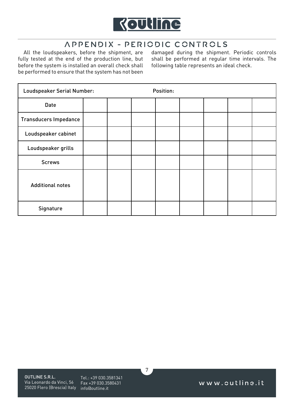

# APPENDIX - PERIODIC CONTROLS

All the loudspeakers, before the shipment, are fully tested at the end of the production line, but before the system is installed an overall check shall be performed to ensure that the system has not been damaged during the shipment. Periodic controls shall be performed at regular time intervals. The following table represents an ideal check.

| Loudspeaker Serial Number:   |  | Position: |  |  |
|------------------------------|--|-----------|--|--|
| Date                         |  |           |  |  |
| <b>Transducers Impedance</b> |  |           |  |  |
| Loudspeaker cabinet          |  |           |  |  |
| Loudspeaker grills           |  |           |  |  |
| <b>Screws</b>                |  |           |  |  |
| <b>Additional notes</b>      |  |           |  |  |
| Signature                    |  |           |  |  |

7

OUTLINE S.R.L. Via Leonardo da Vinci, 56 25020 Flero (Brescia) Italy info@outline.it

Tel.: +39 030.3581341 Fax +39 030.3580431